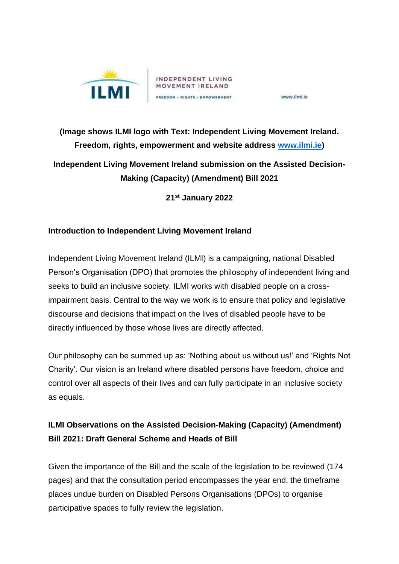

www.ilmi.ie

## **(Image shows ILMI logo with Text: Independent Living Movement Ireland. Freedom, rights, empowerment and website address [www.ilmi.ie\)](http://www.ilmi.ie/) Independent Living Movement Ireland submission on the Assisted Decision-Making (Capacity) (Amendment) Bill 2021**

**21st January 2022**

## **Introduction to Independent Living Movement Ireland**

Independent Living Movement Ireland (ILMI) is a campaigning, national Disabled Person's Organisation (DPO) that promotes the philosophy of independent living and seeks to build an inclusive society. ILMI works with disabled people on a crossimpairment basis. Central to the way we work is to ensure that policy and legislative discourse and decisions that impact on the lives of disabled people have to be directly influenced by those whose lives are directly affected.

Our philosophy can be summed up as: 'Nothing about us without us!' and 'Rights Not Charity'. Our vision is an Ireland where disabled persons have freedom, choice and control over all aspects of their lives and can fully participate in an inclusive society as equals.

## **ILMI Observations on the Assisted Decision-Making (Capacity) (Amendment) Bill 2021: Draft General Scheme and Heads of Bill**

Given the importance of the Bill and the scale of the legislation to be reviewed (174 pages) and that the consultation period encompasses the year end, the timeframe places undue burden on Disabled Persons Organisations (DPOs) to organise participative spaces to fully review the legislation.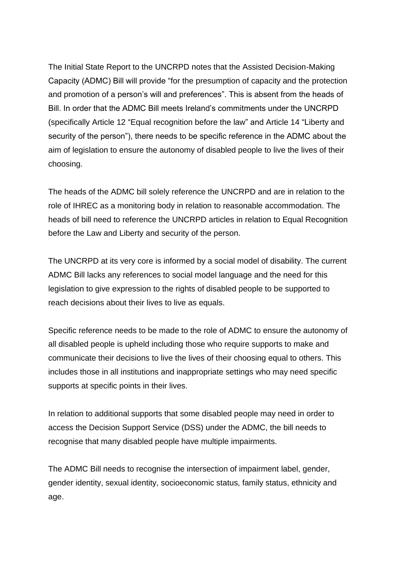The Initial State Report to the UNCRPD notes that the Assisted Decision-Making Capacity (ADMC) Bill will provide "for the presumption of capacity and the protection and promotion of a person's will and preferences". This is absent from the heads of Bill. In order that the ADMC Bill meets Ireland's commitments under the UNCRPD (specifically Article 12 "Equal recognition before the law" and Article 14 "Liberty and security of the person"), there needs to be specific reference in the ADMC about the aim of legislation to ensure the autonomy of disabled people to live the lives of their choosing.

The heads of the ADMC bill solely reference the UNCRPD and are in relation to the role of IHREC as a monitoring body in relation to reasonable accommodation. The heads of bill need to reference the UNCRPD articles in relation to Equal Recognition before the Law and Liberty and security of the person.

The UNCRPD at its very core is informed by a social model of disability. The current ADMC Bill lacks any references to social model language and the need for this legislation to give expression to the rights of disabled people to be supported to reach decisions about their lives to live as equals.

Specific reference needs to be made to the role of ADMC to ensure the autonomy of all disabled people is upheld including those who require supports to make and communicate their decisions to live the lives of their choosing equal to others. This includes those in all institutions and inappropriate settings who may need specific supports at specific points in their lives.

In relation to additional supports that some disabled people may need in order to access the Decision Support Service (DSS) under the ADMC, the bill needs to recognise that many disabled people have multiple impairments.

The ADMC Bill needs to recognise the intersection of impairment label, gender, gender identity, sexual identity, socioeconomic status, family status, ethnicity and age.